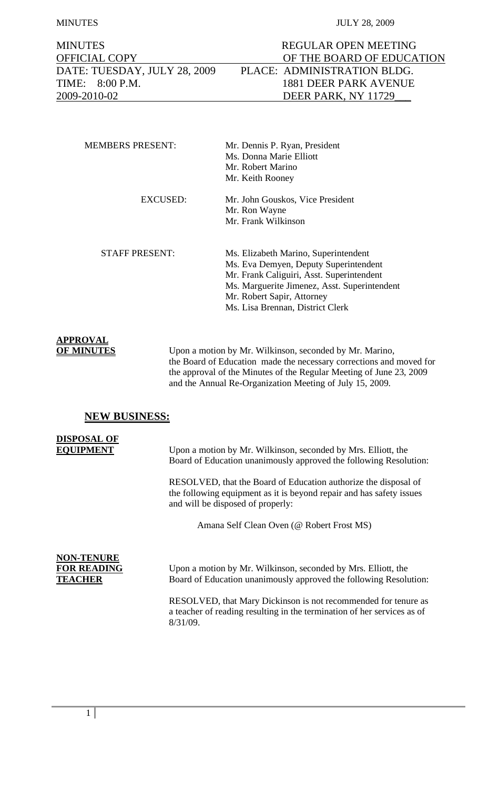MINUTES JULY 28, 2009

| <b>MINUTES</b>               |
|------------------------------|
| <b>OFFICIAL COPY</b>         |
| DATE: TUESDAY, JULY 28, 2009 |
| TIME: 8:00 P.M.              |
| 2009-2010-02                 |

| <b>MEMBERS PRESENT:</b> | Mr. Dennis P. Ryan, President                |
|-------------------------|----------------------------------------------|
|                         | Ms. Donna Marie Elliott                      |
|                         | Mr. Robert Marino                            |
|                         | Mr. Keith Rooney                             |
| EXCUSED:                | Mr. John Gouskos, Vice President             |
|                         | Mr. Ron Wayne                                |
|                         | Mr. Frank Wilkinson                          |
| <b>STAFF PRESENT:</b>   | Ms. Elizabeth Marino, Superintendent         |
|                         | Ms. Eva Demyen, Deputy Superintendent        |
|                         | Mr. Frank Caliguiri, Asst. Superintendent    |
|                         | Ms. Marguerite Jimenez, Asst. Superintendent |
|                         | Mr. Robert Sapir, Attorney                   |
|                         | Ms. Lisa Brennan, District Clerk             |

## **APPROVAL**

**OF MINUTES** Upon a motion by Mr. Wilkinson, seconded by Mr. Marino, the Board of Education made the necessary corrections and moved for the approval of the Minutes of the Regular Meeting of June 23, 2009 and the Annual Re-Organization Meeting of July 15, 2009.

## **NEW BUSINESS:**

# **DISPOSAL OF**

**EQUIPMENT** Upon a motion by Mr. Wilkinson, seconded by Mrs. Elliott, the Board of Education unanimously approved the following Resolution:

> RESOLVED, that the Board of Education authorize the disposal of the following equipment as it is beyond repair and has safety issues and will be disposed of properly:

> > Amana Self Clean Oven (@ Robert Frost MS)

# **NON-TENURE**

**FOR READING** Upon a motion by Mr. Wilkinson, seconded by Mrs. Elliott, the **TEACHER** Board of Education unanimously approved the following Resolution:

> RESOLVED, that Mary Dickinson is not recommended for tenure as a teacher of reading resulting in the termination of her services as of 8/31/09.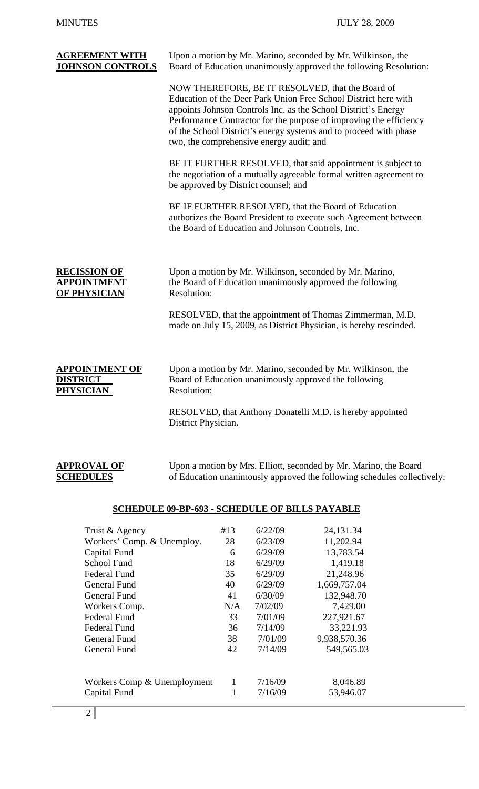| <b>AGREEMENT WITH</b><br><b>JOHNSON CONTROLS</b>                  | Upon a motion by Mr. Marino, seconded by Mr. Wilkinson, the<br>Board of Education unanimously approved the following Resolution:                                                                                                                                                                                                                                             |  |  |
|-------------------------------------------------------------------|------------------------------------------------------------------------------------------------------------------------------------------------------------------------------------------------------------------------------------------------------------------------------------------------------------------------------------------------------------------------------|--|--|
|                                                                   | NOW THEREFORE, BE IT RESOLVED, that the Board of<br>Education of the Deer Park Union Free School District here with<br>appoints Johnson Controls Inc. as the School District's Energy<br>Performance Contractor for the purpose of improving the efficiency<br>of the School District's energy systems and to proceed with phase<br>two, the comprehensive energy audit; and |  |  |
|                                                                   | BE IT FURTHER RESOLVED, that said appointment is subject to<br>the negotiation of a mutually agreeable formal written agreement to<br>be approved by District counsel; and                                                                                                                                                                                                   |  |  |
|                                                                   | BE IF FURTHER RESOLVED, that the Board of Education<br>authorizes the Board President to execute such Agreement between<br>the Board of Education and Johnson Controls, Inc.                                                                                                                                                                                                 |  |  |
| <b>RECISSION OF</b><br><u>APPOINTMENT</u><br>OF PH <u>YSICIAN</u> | Upon a motion by Mr. Wilkinson, seconded by Mr. Marino,<br>the Board of Education unanimously approved the following<br>Resolution:<br>RESOLVED, that the appointment of Thomas Zimmerman, M.D.                                                                                                                                                                              |  |  |
|                                                                   | made on July 15, 2009, as District Physician, is hereby rescinded.                                                                                                                                                                                                                                                                                                           |  |  |
| <b>APPOINTMENT OF</b><br><b>DISTRICT</b><br><b>PHYSICIAN</b>      | Upon a motion by Mr. Marino, seconded by Mr. Wilkinson, the<br>Board of Education unanimously approved the following<br>Resolution:                                                                                                                                                                                                                                          |  |  |
|                                                                   | RESOLVED, that Anthony Donatelli M.D. is hereby appointed<br>District Physician.                                                                                                                                                                                                                                                                                             |  |  |
| <b>APPROVAL OF</b><br><b>SCHEDULES</b>                            | Upon a motion by Mrs. Elliott, seconded by Mr. Marino, the Board<br>of Education unanimously approved the following schedules collectively:                                                                                                                                                                                                                                  |  |  |

## **SCHEDULE 09-BP-693 - SCHEDULE OF BILLS PAYABLE**

| Trust & Agency              | #13 | 6/22/09 | 24,131.34    |
|-----------------------------|-----|---------|--------------|
| Workers' Comp. & Unemploy.  | 28  | 6/23/09 | 11,202.94    |
| Capital Fund                | 6   | 6/29/09 | 13,783.54    |
| School Fund                 | 18  | 6/29/09 | 1,419.18     |
| Federal Fund                | 35  | 6/29/09 | 21,248.96    |
| General Fund                | 40  | 6/29/09 | 1,669,757.04 |
| General Fund                | 41  | 6/30/09 | 132,948.70   |
| Workers Comp.               | N/A | 7/02/09 | 7,429.00     |
| <b>Federal Fund</b>         | 33  | 7/01/09 | 227,921.67   |
| Federal Fund                | 36  | 7/14/09 | 33,221.93    |
| General Fund                | 38  | 7/01/09 | 9,938,570.36 |
| General Fund                | 42  | 7/14/09 | 549,565.03   |
|                             |     |         |              |
| Workers Comp & Unemployment | 1   | 7/16/09 | 8,046.89     |
| Capital Fund                | 1   | 7/16/09 | 53,946.07    |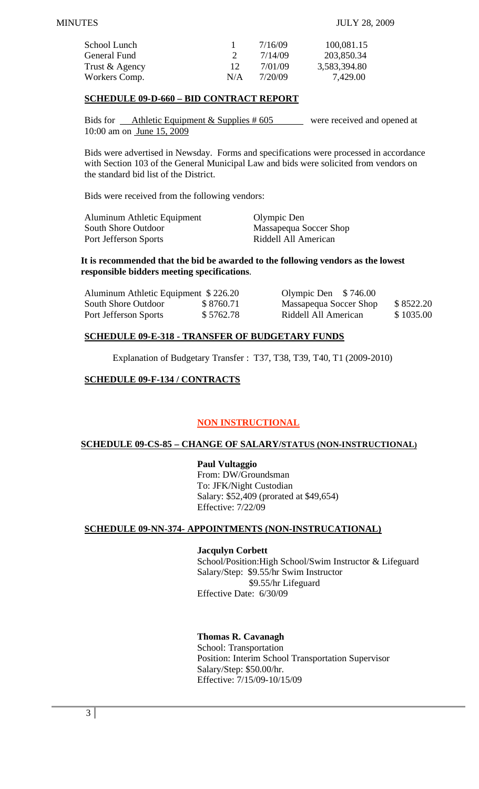| School Lunch   |               | 7/16/09 | 100,081.15   |
|----------------|---------------|---------|--------------|
| General Fund   | $\mathcal{D}$ | 7/14/09 | 203,850.34   |
| Trust & Agency | $12^{\circ}$  | 7/01/09 | 3,583,394.80 |
| Workers Comp.  | N/A           | 7/20/09 | 7,429.00     |

## **SCHEDULE 09-D-660 – BID CONTRACT REPORT**

Bids for Athletic Equipment & Supplies #605 were received and opened at 10:00 am on June 15, 2009

Bids were advertised in Newsday. Forms and specifications were processed in accordance with Section 103 of the General Municipal Law and bids were solicited from vendors on the standard bid list of the District.

Bids were received from the following vendors:

| Aluminum Athletic Equipment | Olympic Den            |
|-----------------------------|------------------------|
| South Shore Outdoor         | Massapequa Soccer Shop |
| Port Jefferson Sports       | Riddell All American   |

#### **It is recommended that the bid be awarded to the following vendors as the lowest responsible bidders meeting specifications**.

| Aluminum Athletic Equipment \$226.20 |           | Olympic Den $$746.00$  |           |
|--------------------------------------|-----------|------------------------|-----------|
| South Shore Outdoor                  | \$8760.71 | Massapequa Soccer Shop | \$8522.20 |
| Port Jefferson Sports                | \$5762.78 | Riddell All American   | \$1035.00 |

## **SCHEDULE 09-E-318 - TRANSFER OF BUDGETARY FUNDS**

Explanation of Budgetary Transfer : T37, T38, T39, T40, T1 (2009-2010)

## **SCHEDULE 09-F-134 / CONTRACTS**

## **NON INSTRUCTIONAL**

## **SCHEDULE 09-CS-85 – CHANGE OF SALARY/STATUS (NON-INSTRUCTIONAL)**

#### **Paul Vultaggio**

 From: DW/Groundsman To: JFK/Night Custodian Salary: \$52,409 (prorated at \$49,654) Effective: 7/22/09

## **SCHEDULE 09-NN-374- APPOINTMENTS (NON-INSTRUCATIONAL)**

#### **Jacqulyn Corbett**

School/Position:High School/Swim Instructor & Lifeguard Salary/Step: \$9.55/hr Swim Instructor \$9.55/hr Lifeguard Effective Date: 6/30/09

## **Thomas R. Cavanagh**

 School: Transportation Position: Interim School Transportation Supervisor Salary/Step: \$50.00/hr. Effective: 7/15/09-10/15/09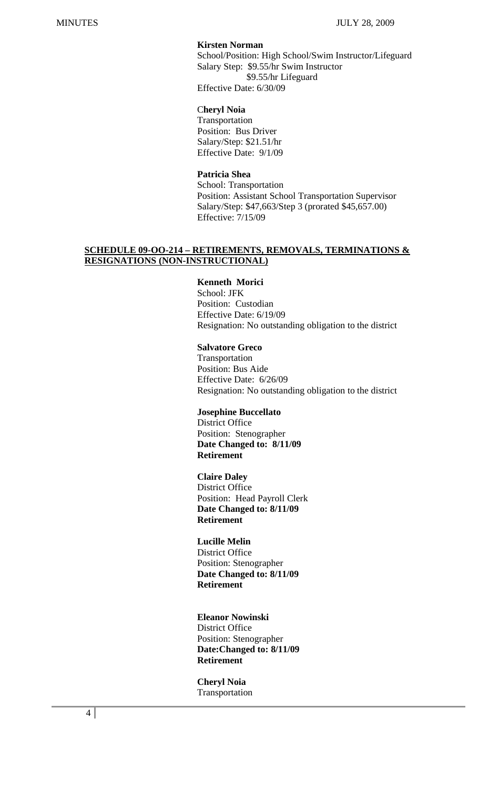## **Kirsten Norman**

School/Position: High School/Swim Instructor/Lifeguard Salary Step: \$9.55/hr Swim Instructor \$9.55/hr Lifeguard Effective Date: 6/30/09

#### C**heryl Noia**

 Transportation Position: Bus Driver Salary/Step: \$21.51/hr Effective Date: 9/1/09

## **Patricia Shea**

 School: Transportation Position: Assistant School Transportation Supervisor Salary/Step: \$47,663/Step 3 (prorated \$45,657.00) Effective: 7/15/09

## **SCHEDULE 09-OO-214 – RETIREMENTS, REMOVALS, TERMINATIONS & RESIGNATIONS (NON-INSTRUCTIONAL)**

## **Kenneth Morici**

School: JFK Position: Custodian Effective Date: 6/19/09 Resignation: No outstanding obligation to the district

## **Salvatore Greco**

 Transportation Position: Bus Aide Effective Date: 6/26/09 Resignation: No outstanding obligation to the district

## **Josephine Buccellato**

 District Office Position: Stenographer **Date Changed to: 8/11/09 Retirement** 

#### **Claire Daley**

District Office Position: Head Payroll Clerk **Date Changed to: 8/11/09 Retirement** 

## **Lucille Melin**

 District Office Position: Stenographer **Date Changed to: 8/11/09 Retirement** 

#### **Eleanor Nowinski**

 District Office Position: Stenographer **Date:Changed to: 8/11/09 Retirement** 

 **Cheryl Noia** Transportation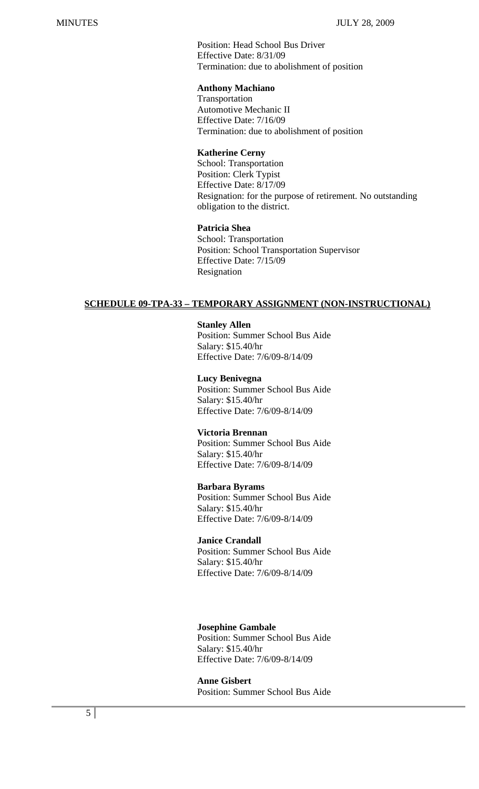Position: Head School Bus Driver Effective Date: 8/31/09 Termination: due to abolishment of position

## **Anthony Machiano**

 Transportation Automotive Mechanic II Effective Date: 7/16/09 Termination: due to abolishment of position

#### **Katherine Cerny**

 School: Transportation Position: Clerk Typist Effective Date: 8/17/09 Resignation: for the purpose of retirement. No outstanding obligation to the district.

#### **Patricia Shea**

 School: Transportation Position: School Transportation Supervisor Effective Date: 7/15/09 Resignation

## **SCHEDULE 09-TPA-33 – TEMPORARY ASSIGNMENT (NON-INSTRUCTIONAL)**

#### **Stanley Allen**

 Position: Summer School Bus Aide Salary: \$15.40/hr Effective Date: 7/6/09-8/14/09

#### **Lucy Benivegna**

 Position: Summer School Bus Aide Salary: \$15.40/hr Effective Date: 7/6/09-8/14/09

## **Victoria Brennan**

 Position: Summer School Bus Aide Salary: \$15.40/hr Effective Date: 7/6/09-8/14/09

#### **Barbara Byrams**

 Position: Summer School Bus Aide Salary: \$15.40/hr Effective Date: 7/6/09-8/14/09

#### **Janice Crandall**

 Position: Summer School Bus Aide Salary: \$15.40/hr Effective Date: 7/6/09-8/14/09

## **Josephine Gambale**

 Position: Summer School Bus Aide Salary: \$15.40/hr Effective Date: 7/6/09-8/14/09

 **Anne Gisbert**  Position: Summer School Bus Aide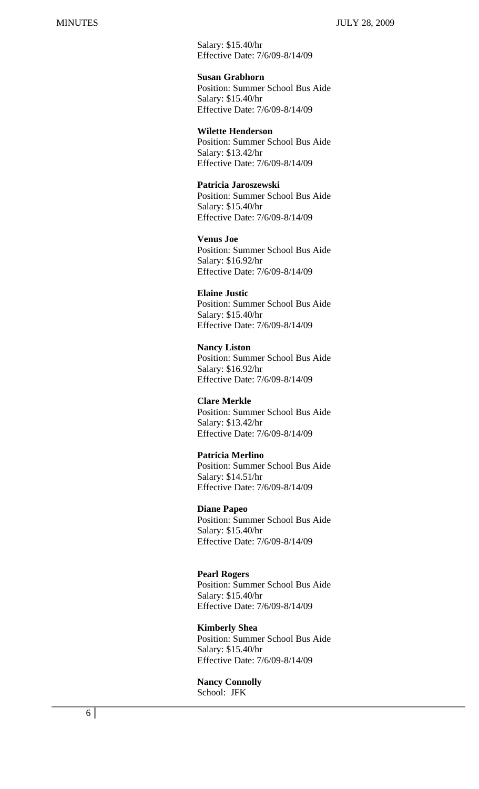MINUTES JULY 28, 2009

 Salary: \$15.40/hr Effective Date: 7/6/09-8/14/09

**Susan Grabhorn** 

 Position: Summer School Bus Aide Salary: \$15.40/hr Effective Date: 7/6/09-8/14/09

#### **Wilette Henderson**

 Position: Summer School Bus Aide Salary: \$13.42/hr Effective Date: 7/6/09-8/14/09

#### **Patricia Jaroszewski**

 Position: Summer School Bus Aide Salary: \$15.40/hr Effective Date: 7/6/09-8/14/09

 **Venus Joe**  Position: Summer School Bus Aide Salary: \$16.92/hr Effective Date: 7/6/09-8/14/09

#### **Elaine Justic**

 Position: Summer School Bus Aide Salary: \$15.40/hr Effective Date: 7/6/09-8/14/09

 **Nancy Liston**  Position: Summer School Bus Aide Salary: \$16.92/hr Effective Date: 7/6/09-8/14/09

#### **Clare Merkle**

 Position: Summer School Bus Aide Salary: \$13.42/hr Effective Date: 7/6/09-8/14/09

#### **Patricia Merlino**

 Position: Summer School Bus Aide Salary: \$14.51/hr Effective Date: 7/6/09-8/14/09

## **Diane Papeo**

 Position: Summer School Bus Aide Salary: \$15.40/hr Effective Date: 7/6/09-8/14/09

#### **Pearl Rogers**

 Position: Summer School Bus Aide Salary: \$15.40/hr Effective Date: 7/6/09-8/14/09

#### **Kimberly Shea**

 Position: Summer School Bus Aide Salary: \$15.40/hr Effective Date: 7/6/09-8/14/09

#### **Nancy Connolly**  School: JFK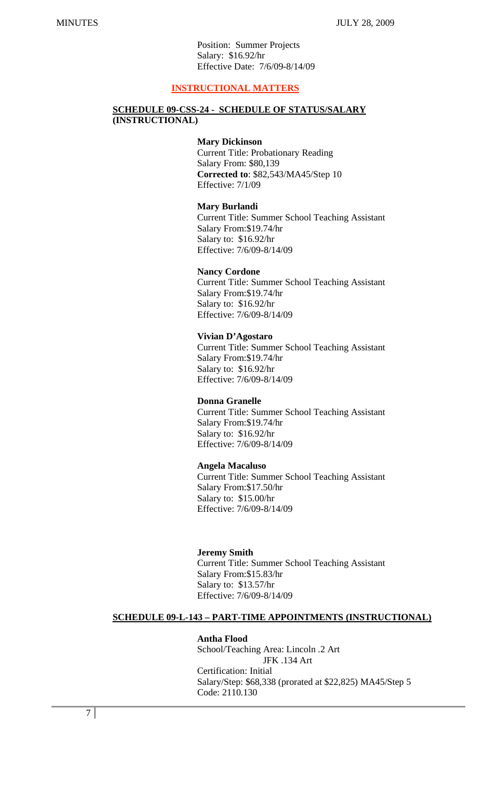Position: Summer Projects Salary: \$16.92/hr Effective Date: 7/6/09-8/14/09

## **INSTRUCTIONAL MATTERS**

#### **SCHEDULE 09-CSS-24 - SCHEDULE OF STATUS/SALARY (INSTRUCTIONAL)**

#### **Mary Dickinson**

Current Title: Probationary Reading Salary From: \$80,139 **Corrected to**: \$82,543/MA45/Step 10 Effective: 7/1/09

#### **Mary Burlandi**

 Current Title: Summer School Teaching Assistant Salary From:\$19.74/hr Salary to: \$16.92/hr Effective: 7/6/09-8/14/09

#### **Nancy Cordone**

 Current Title: Summer School Teaching Assistant Salary From:\$19.74/hr Salary to: \$16.92/hr Effective: 7/6/09-8/14/09

#### **Vivian D'Agostaro**

 Current Title: Summer School Teaching Assistant Salary From:\$19.74/hr Salary to: \$16.92/hr Effective: 7/6/09-8/14/09

#### **Donna Granelle**

 Current Title: Summer School Teaching Assistant Salary From:\$19.74/hr Salary to: \$16.92/hr Effective: 7/6/09-8/14/09

#### **Angela Macaluso**

 Current Title: Summer School Teaching Assistant Salary From:\$17.50/hr Salary to: \$15.00/hr Effective: 7/6/09-8/14/09

#### **Jeremy Smith**

 Current Title: Summer School Teaching Assistant Salary From:\$15.83/hr Salary to: \$13.57/hr Effective: 7/6/09-8/14/09

## **SCHEDULE 09-L-143 – PART-TIME APPOINTMENTS (INSTRUCTIONAL)**

#### **Antha Flood**

School/Teaching Area: Lincoln .2 Art JFK .134 Art Certification: Initial Salary/Step: \$68,338 (prorated at \$22,825) MA45/Step 5 Code: 2110.130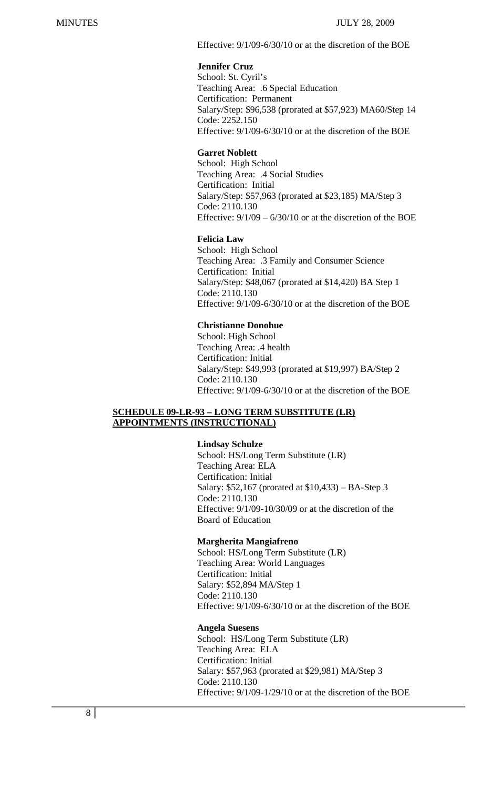Effective: 9/1/09-6/30/10 or at the discretion of the BOE

## **Jennifer Cruz**

 School: St. Cyril's Teaching Area: .6 Special Education Certification: Permanent Salary/Step: \$96,538 (prorated at \$57,923) MA60/Step 14 Code: 2252.150 Effective: 9/1/09-6/30/10 or at the discretion of the BOE

## **Garret Noblett**

 School: High School Teaching Area: .4 Social Studies Certification: Initial Salary/Step: \$57,963 (prorated at \$23,185) MA/Step 3 Code: 2110.130 Effective:  $9/1/09 - 6/30/10$  or at the discretion of the BOE

## **Felicia Law**

School: High School Teaching Area: .3 Family and Consumer Science Certification: Initial Salary/Step: \$48,067 (prorated at \$14,420) BA Step 1 Code: 2110.130 Effective: 9/1/09-6/30/10 or at the discretion of the BOE

## **Christianne Donohue**

 School: High School Teaching Area: .4 health Certification: Initial Salary/Step: \$49,993 (prorated at \$19,997) BA/Step 2 Code: 2110.130 Effective: 9/1/09-6/30/10 or at the discretion of the BOE

## **SCHEDULE 09-LR-93 – LONG TERM SUBSTITUTE (LR) APPOINTMENTS (INSTRUCTIONAL)**

## **Lindsay Schulze**

School: HS/Long Term Substitute (LR) Teaching Area: ELA Certification: Initial Salary: \$52,167 (prorated at \$10,433) – BA-Step 3 Code: 2110.130 Effective: 9/1/09-10/30/09 or at the discretion of the Board of Education

#### **Margherita Mangiafreno**

 School: HS/Long Term Substitute (LR) Teaching Area: World Languages Certification: Initial Salary: \$52,894 MA/Step 1 Code: 2110.130 Effective: 9/1/09-6/30/10 or at the discretion of the BOE

## **Angela Suesens**

School: HS/Long Term Substitute (LR) Teaching Area: ELA Certification: Initial Salary: \$57,963 (prorated at \$29,981) MA/Step 3 Code: 2110.130 Effective: 9/1/09-1/29/10 or at the discretion of the BOE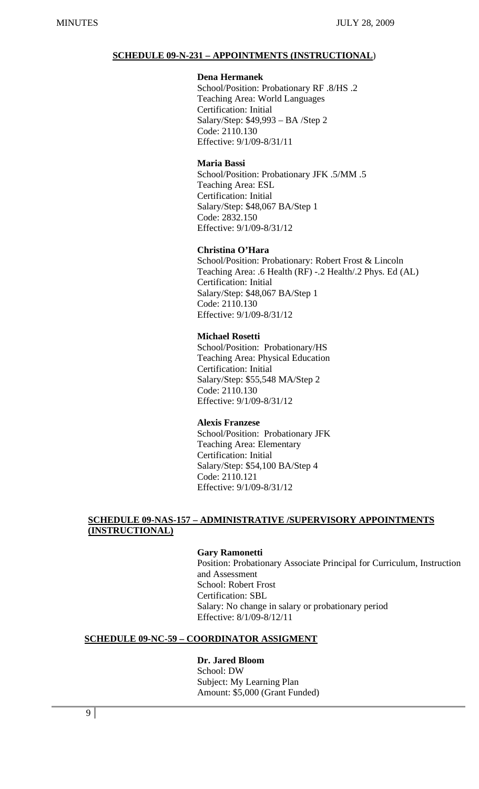## **SCHEDULE 09-N-231 – APPOINTMENTS (INSTRUCTIONAL**)

#### **Dena Hermanek**

School/Position: Probationary RF .8/HS .2 Teaching Area: World Languages Certification: Initial Salary/Step: \$49,993 – BA /Step 2 Code: 2110.130 Effective: 9/1/09-8/31/11

#### **Maria Bassi**

School/Position: Probationary JFK .5/MM .5 Teaching Area: ESL Certification: Initial Salary/Step: \$48,067 BA/Step 1 Code: 2832.150 Effective: 9/1/09-8/31/12

## **Christina O'Hara**

 School/Position: Probationary: Robert Frost & Lincoln Teaching Area: .6 Health (RF) -.2 Health/.2 Phys. Ed (AL) Certification: Initial Salary/Step: \$48,067 BA/Step 1 Code: 2110.130 Effective: 9/1/09-8/31/12

#### **Michael Rosetti**

 School/Position: Probationary/HS Teaching Area: Physical Education Certification: Initial Salary/Step: \$55,548 MA/Step 2 Code: 2110.130 Effective: 9/1/09-8/31/12

#### **Alexis Franzese**

 School/Position: Probationary JFK Teaching Area: Elementary Certification: Initial Salary/Step: \$54,100 BA/Step 4 Code: 2110.121 Effective: 9/1/09-8/31/12

## **SCHEDULE 09-NAS-157 – ADMINISTRATIVE /SUPERVISORY APPOINTMENTS (INSTRUCTIONAL)**

## **Gary Ramonetti**

 Position: Probationary Associate Principal for Curriculum, Instruction and Assessment School: Robert Frost Certification: SBL Salary: No change in salary or probationary period Effective: 8/1/09-8/12/11

## **SCHEDULE 09-NC-59 – COORDINATOR ASSIGMENT**

## **Dr. Jared Bloom**

School: DW Subject: My Learning Plan Amount: \$5,000 (Grant Funded)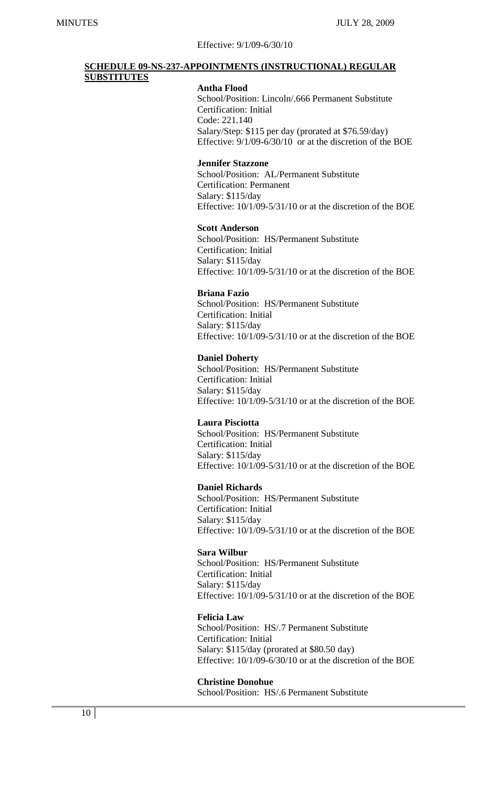#### Effective: 9/1/09-6/30/10

## **SCHEDULE 09-NS-237-APPOINTMENTS (INSTRUCTIONAL) REGULAR SUBSTITUTES**

#### **Antha Flood**

School/Position: Lincoln/.666 Permanent Substitute Certification: Initial Code: 221.140 Salary/Step: \$115 per day (prorated at \$76.59/day) Effective: 9/1/09-6/30/10 or at the discretion of the BOE

#### **Jennifer Stazzone**

 School/Position: AL/Permanent Substitute Certification: Permanent Salary: \$115/day Effective: 10/1/09-5/31/10 or at the discretion of the BOE

#### **Scott Anderson**

 School/Position: HS/Permanent Substitute Certification: Initial Salary: \$115/day Effective: 10/1/09-5/31/10 or at the discretion of the BOE

#### **Briana Fazio**

 School/Position: HS/Permanent Substitute Certification: Initial Salary: \$115/day Effective: 10/1/09-5/31/10 or at the discretion of the BOE

#### **Daniel Doherty**

 School/Position: HS/Permanent Substitute Certification: Initial Salary: \$115/day Effective: 10/1/09-5/31/10 or at the discretion of the BOE

#### **Laura Pisciotta**

 School/Position: HS/Permanent Substitute Certification: Initial Salary: \$115/day Effective: 10/1/09-5/31/10 or at the discretion of the BOE

#### **Daniel Richards**

 School/Position: HS/Permanent Substitute Certification: Initial Salary: \$115/day Effective: 10/1/09-5/31/10 or at the discretion of the BOE

## **Sara Wilbur**

 School/Position: HS/Permanent Substitute Certification: Initial Salary: \$115/day Effective: 10/1/09-5/31/10 or at the discretion of the BOE

#### **Felicia Law**

 School/Position: HS/.7 Permanent Substitute Certification: Initial Salary: \$115/day (prorated at \$80.50 day) Effective: 10/1/09-6/30/10 or at the discretion of the BOE

#### **Christine Donohue**

School/Position: HS/.6 Permanent Substitute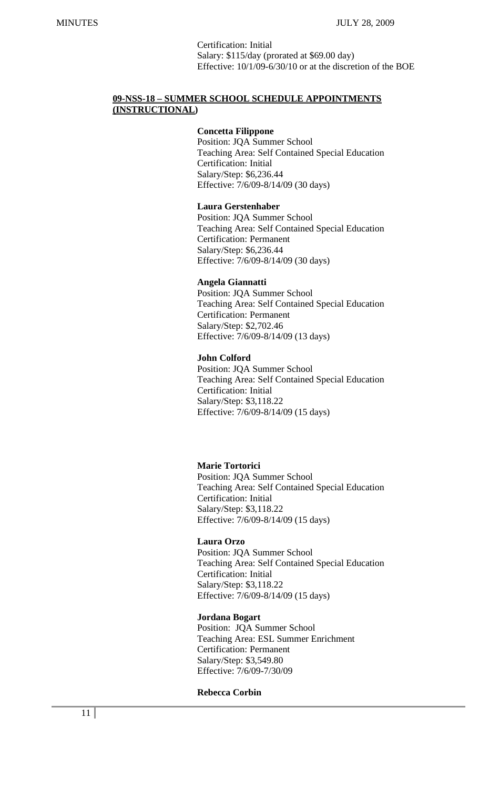Certification: Initial Salary: \$115/day (prorated at \$69.00 day) Effective: 10/1/09-6/30/10 or at the discretion of the BOE

## **09-NSS-18 – SUMMER SCHOOL SCHEDULE APPOINTMENTS (INSTRUCTIONAL)**

#### **Concetta Filippone**

Position: JQA Summer School Teaching Area: Self Contained Special Education Certification: Initial Salary/Step: \$6,236.44 Effective: 7/6/09-8/14/09 (30 days)

#### **Laura Gerstenhaber**

Position: JQA Summer School Teaching Area: Self Contained Special Education Certification: Permanent Salary/Step: \$6,236.44 Effective: 7/6/09-8/14/09 (30 days)

## **Angela Giannatti**

Position: JQA Summer School Teaching Area: Self Contained Special Education Certification: Permanent Salary/Step: \$2,702.46 Effective: 7/6/09-8/14/09 (13 days)

## **John Colford**

Position: JQA Summer School Teaching Area: Self Contained Special Education Certification: Initial Salary/Step: \$3,118.22 Effective: 7/6/09-8/14/09 (15 days)

## **Marie Tortorici**

Position: JQA Summer School Teaching Area: Self Contained Special Education Certification: Initial Salary/Step: \$3,118.22 Effective: 7/6/09-8/14/09 (15 days)

#### **Laura Orzo**

Position: JQA Summer School Teaching Area: Self Contained Special Education Certification: Initial Salary/Step: \$3,118.22 Effective: 7/6/09-8/14/09 (15 days)

#### **Jordana Bogart**

 Position: JQA Summer School Teaching Area: ESL Summer Enrichment Certification: Permanent Salary/Step: \$3,549.80 Effective: 7/6/09-7/30/09

#### **Rebecca Corbin**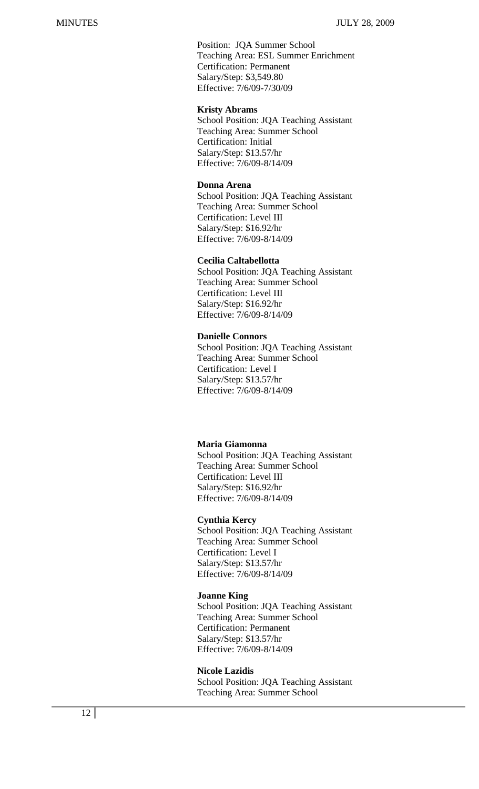Position: JQA Summer School Teaching Area: ESL Summer Enrichment Certification: Permanent Salary/Step: \$3,549.80 Effective: 7/6/09-7/30/09

#### **Kristy Abrams**

 School Position: JQA Teaching Assistant Teaching Area: Summer School Certification: Initial Salary/Step: \$13.57/hr Effective: 7/6/09-8/14/09

#### **Donna Arena**

 School Position: JQA Teaching Assistant Teaching Area: Summer School Certification: Level III Salary/Step: \$16.92/hr Effective: 7/6/09-8/14/09

#### **Cecilia Caltabellotta**

 School Position: JQA Teaching Assistant Teaching Area: Summer School Certification: Level III Salary/Step: \$16.92/hr Effective: 7/6/09-8/14/09

#### **Danielle Connors**

 School Position: JQA Teaching Assistant Teaching Area: Summer School Certification: Level I Salary/Step: \$13.57/hr Effective: 7/6/09-8/14/09

## **Maria Giamonna**

 School Position: JQA Teaching Assistant Teaching Area: Summer School Certification: Level III Salary/Step: \$16.92/hr Effective: 7/6/09-8/14/09

#### **Cynthia Kercy**

 School Position: JQA Teaching Assistant Teaching Area: Summer School Certification: Level I Salary/Step: \$13.57/hr Effective: 7/6/09-8/14/09

#### **Joanne King**

 School Position: JQA Teaching Assistant Teaching Area: Summer School Certification: Permanent Salary/Step: \$13.57/hr Effective: 7/6/09-8/14/09

#### **Nicole Lazidis**

 School Position: JQA Teaching Assistant Teaching Area: Summer School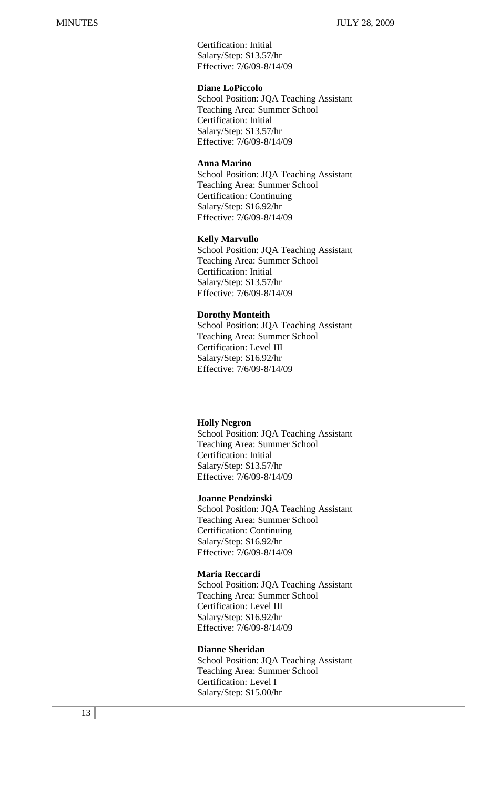Certification: Initial Salary/Step: \$13.57/hr Effective: 7/6/09-8/14/09

## **Diane LoPiccolo**

 School Position: JQA Teaching Assistant Teaching Area: Summer School Certification: Initial Salary/Step: \$13.57/hr Effective: 7/6/09-8/14/09

## **Anna Marino**

 School Position: JQA Teaching Assistant Teaching Area: Summer School Certification: Continuing Salary/Step: \$16.92/hr Effective: 7/6/09-8/14/09

## **Kelly Marvullo**

 School Position: JQA Teaching Assistant Teaching Area: Summer School Certification: Initial Salary/Step: \$13.57/hr Effective: 7/6/09-8/14/09

#### **Dorothy Monteith**

 School Position: JQA Teaching Assistant Teaching Area: Summer School Certification: Level III Salary/Step: \$16.92/hr Effective: 7/6/09-8/14/09

#### **Holly Negron**

 School Position: JQA Teaching Assistant Teaching Area: Summer School Certification: Initial Salary/Step: \$13.57/hr Effective: 7/6/09-8/14/09

#### **Joanne Pendzinski**

 School Position: JQA Teaching Assistant Teaching Area: Summer School Certification: Continuing Salary/Step: \$16.92/hr Effective: 7/6/09-8/14/09

#### **Maria Reccardi**

 School Position: JQA Teaching Assistant Teaching Area: Summer School Certification: Level III Salary/Step: \$16.92/hr Effective: 7/6/09-8/14/09

#### **Dianne Sheridan**

 School Position: JQA Teaching Assistant Teaching Area: Summer School Certification: Level I Salary/Step: \$15.00/hr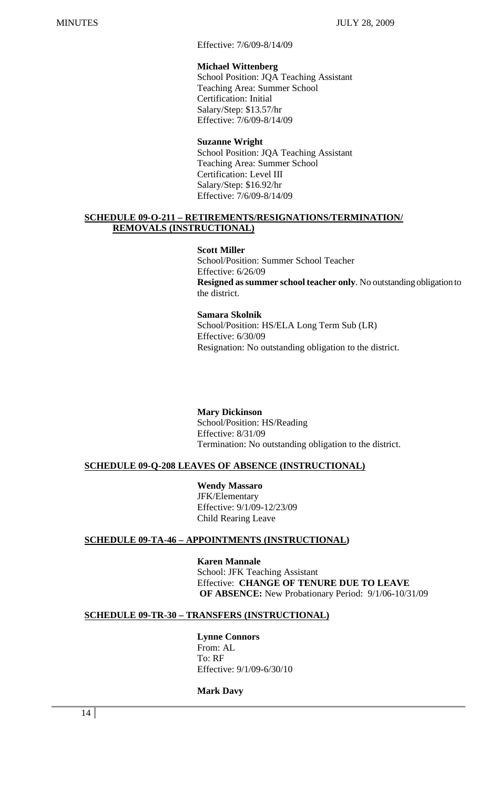Effective: 7/6/09-8/14/09

## **Michael Wittenberg**

 School Position: JQA Teaching Assistant Teaching Area: Summer School Certification: Initial Salary/Step: \$13.57/hr Effective: 7/6/09-8/14/09

## **Suzanne Wright**

 School Position: JQA Teaching Assistant Teaching Area: Summer School Certification: Level III Salary/Step: \$16.92/hr Effective: 7/6/09-8/14/09

## **SCHEDULE 09-O-211 – RETIREMENTS/RESIGNATIONS/TERMINATION/ REMOVALS (INSTRUCTIONAL)**

## **Scott Miller**

 School/Position: Summer School Teacher Effective: 6/26/09 **Resigned as summer school teacher only**. No outstanding obligation to the district.

## **Samara Skolnik**

 School/Position: HS/ELA Long Term Sub (LR) Effective: 6/30/09 Resignation: No outstanding obligation to the district.

## **Mary Dickinson**

 School/Position: HS/Reading Effective: 8/31/09 Termination: No outstanding obligation to the district.

## **SCHEDULE 09-Q-208 LEAVES OF ABSENCE (INSTRUCTIONAL)**

 **Wendy Massaro** 

JFK/Elementary Effective: 9/1/09-12/23/09 Child Rearing Leave

## **SCHEDULE 09-TA-46 – APPOINTMENTS (INSTRUCTIONAL)**

 **Karen Mannale** School: JFK Teaching Assistant Effective: **CHANGE OF TENURE DUE TO LEAVE OF ABSENCE:** New Probationary Period: 9/1/06-10/31/09

## **SCHEDULE 09-TR-30 – TRANSFERS (INSTRUCTIONAL)**

#### **Lynne Connors**  From: AL

 To: RF Effective: 9/1/09-6/30/10

## **Mark Davy**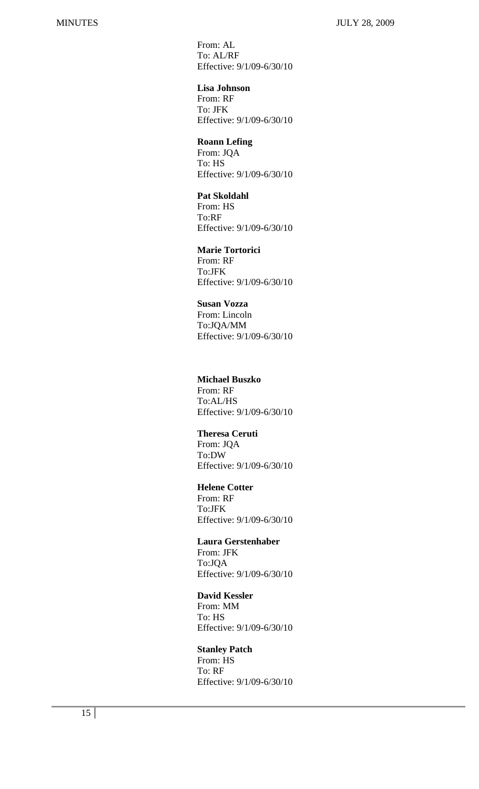From: AL To: AL/RF Effective: 9/1/09-6/30/10

 **Lisa Johnson**  From: RF To: JFK Effective: 9/1/09-6/30/10

#### **Roann Lefing**

 From: JQA To: HS Effective: 9/1/09-6/30/10

## **Pat Skoldahl**

 From: HS To:RF Effective: 9/1/09-6/30/10

**Marie Tortorici** 

 From: RF To:JFK Effective: 9/1/09-6/30/10

## **Susan Vozza**

 From: Lincoln To:JQA/MM Effective: 9/1/09-6/30/10

## **Michael Buszko**

 From: RF To:AL/HS Effective: 9/1/09-6/30/10

 **Theresa Ceruti**  From: JQA To:DW Effective: 9/1/09-6/30/10

#### **Helene Cotter**

 From: RF To:JFK Effective: 9/1/09-6/30/10

## **Laura Gerstenhaber**

 From: JFK To:JQA Effective: 9/1/09-6/30/10

## **David Kessler**

 From: MM To: HS Effective: 9/1/09-6/30/10

## **Stanley Patch**

 From: HS To: RF Effective: 9/1/09-6/30/10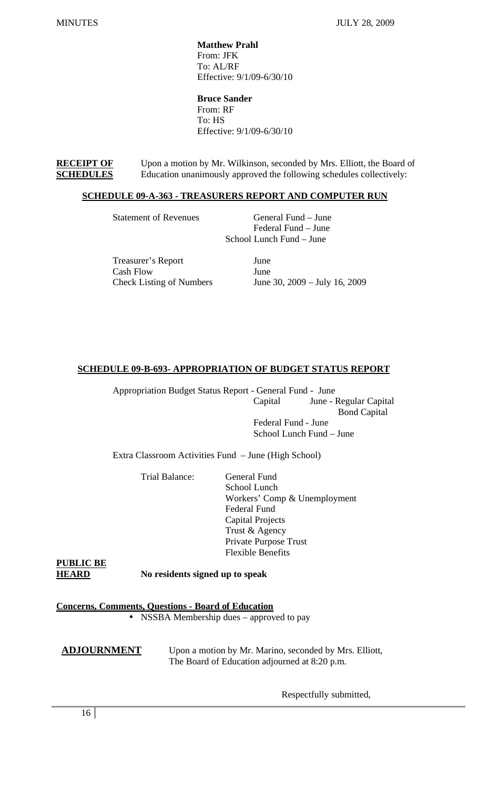**Matthew Prahl**  From: JFK To: AL/RF Effective: 9/1/09-6/30/10

 **Bruce Sander**  From: RF To: HS Effective: 9/1/09-6/30/10

**RECEIPT OF** Upon a motion by Mr. Wilkinson, seconded by Mrs. Elliott, the Board of **SCHEDULES** Education unanimously approved the following schedules collectively:

## **SCHEDULE 09-A-363 - TREASURERS REPORT AND COMPUTER RUN**

**Statement of Revenues** General Fund – June Federal Fund – June School Lunch Fund – June

 Treasurer's Report June Cash Flow June

Check Listing of Numbers June 30, 2009 – July 16, 2009

## **SCHEDULE 09-B-693- APPROPRIATION OF BUDGET STATUS REPORT**

Appropriation Budget Status Report - General Fund - June Capital June - Regular Capital Bond Capital Federal Fund - June School Lunch Fund – June

Extra Classroom Activities Fund – June (High School)

Trial Balance: General Fund

 School Lunch Workers' Comp & Unemployment Federal Fund Capital Projects Trust & Agency Private Purpose Trust Flexible Benefits

**PUBLIC BE**

**HEARD No residents signed up to speak** 

**Concerns, Comments, Questions - Board of Education** • NSSBA Membership dues – approved to pay

**ADJOURNMENT** Upon a motion by Mr. Marino, seconded by Mrs. Elliott, The Board of Education adjourned at 8:20 p.m.

Respectfully submitted,